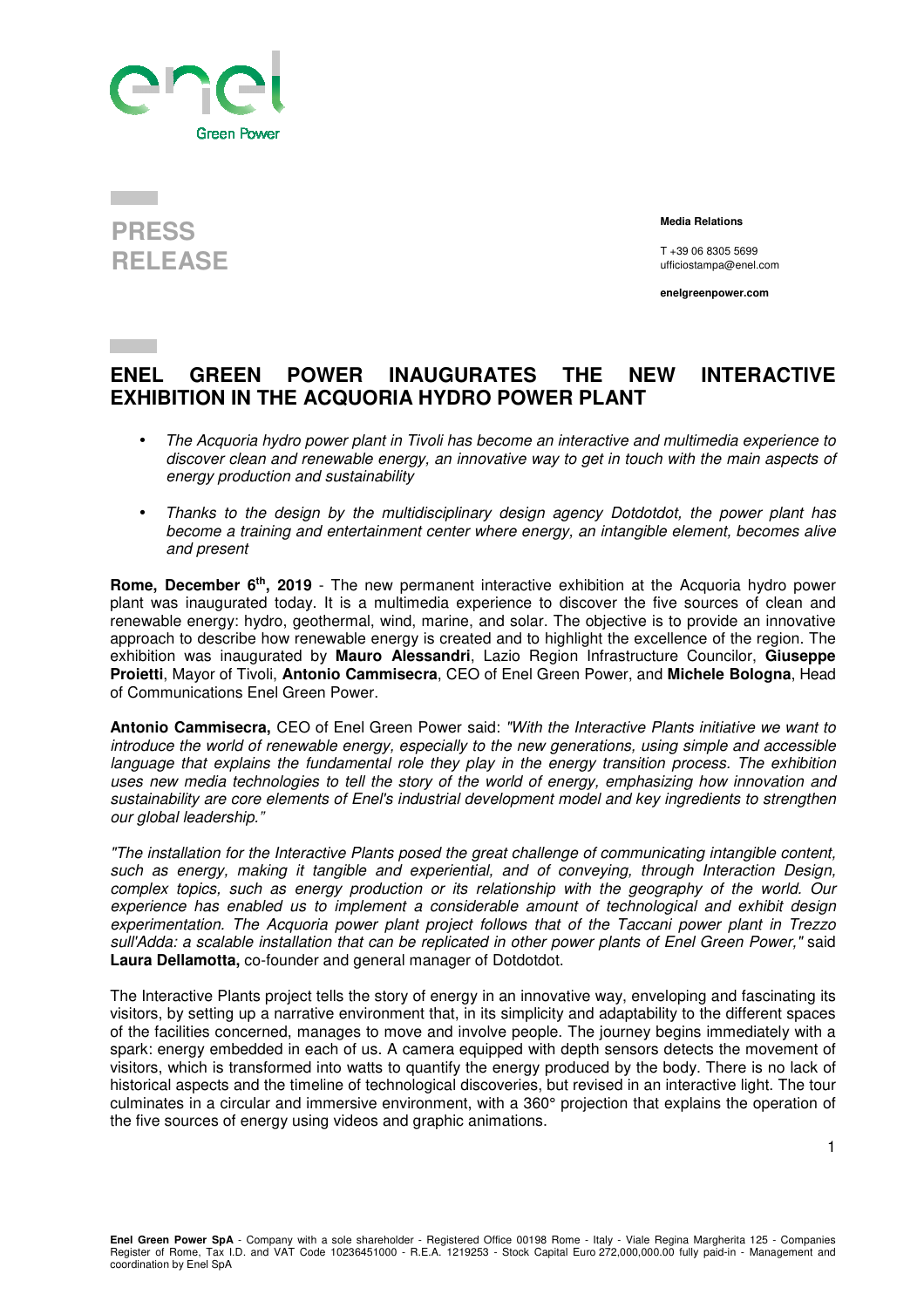



 **Media Relations** 

T +39 06 8305 5699 ufficiostampa@enel.com

**enelgreenpower.com**

## **ENEL GREEN POWER INAUGURATES THE NEW INTERACTIVE EXHIBITION IN THE ACQUORIA HYDRO POWER PLANT**

- *The Acquoria hydro power plant in Tivoli has become an interactive and multimedia experience to discover clean and renewable energy, an innovative way to get in touch with the main aspects of energy production and sustainability*
- *Thanks to the design by the multidisciplinary design agency Dotdotdot, the power plant has become a training and entertainment center where energy, an intangible element, becomes alive and present*

**Rome, December 6th, 2019** - The new permanent interactive exhibition at the Acquoria hydro power plant was inaugurated today. It is a multimedia experience to discover the five sources of clean and renewable energy: hydro, geothermal, wind, marine, and solar. The objective is to provide an innovative approach to describe how renewable energy is created and to highlight the excellence of the region. The exhibition was inaugurated by **Mauro Alessandri**, Lazio Region Infrastructure Councilor, **Giuseppe Proietti**, Mayor of Tivoli, **Antonio Cammisecra**, CEO of Enel Green Power, and **Michele Bologna**, Head of Communications Enel Green Power.

**Antonio Cammisecra,** CEO of Enel Green Power said: *"With the Interactive Plants initiative we want to introduce the world of renewable energy, especially to the new generations, using simple and accessible language that explains the fundamental role they play in the energy transition process. The exhibition uses new media technologies to tell the story of the world of energy, emphasizing how innovation and sustainability are core elements of Enel's industrial development model and key ingredients to strengthen our global leadership."* 

*"The installation for the Interactive Plants posed the great challenge of communicating intangible content, such as energy, making it tangible and experiential, and of conveying, through Interaction Design, complex topics, such as energy production or its relationship with the geography of the world. Our experience has enabled us to implement a considerable amount of technological and exhibit design experimentation. The Acquoria power plant project follows that of the Taccani power plant in Trezzo sull'Adda: a scalable installation that can be replicated in other power plants of Enel Green Power,"* said **Laura Dellamotta,** co-founder and general manager of Dotdotdot.

The Interactive Plants project tells the story of energy in an innovative way, enveloping and fascinating its visitors, by setting up a narrative environment that, in its simplicity and adaptability to the different spaces of the facilities concerned, manages to move and involve people. The journey begins immediately with a spark: energy embedded in each of us. A camera equipped with depth sensors detects the movement of visitors, which is transformed into watts to quantify the energy produced by the body. There is no lack of historical aspects and the timeline of technological discoveries, but revised in an interactive light. The tour culminates in a circular and immersive environment, with a 360° projection that explains the operation of the five sources of energy using videos and graphic animations.